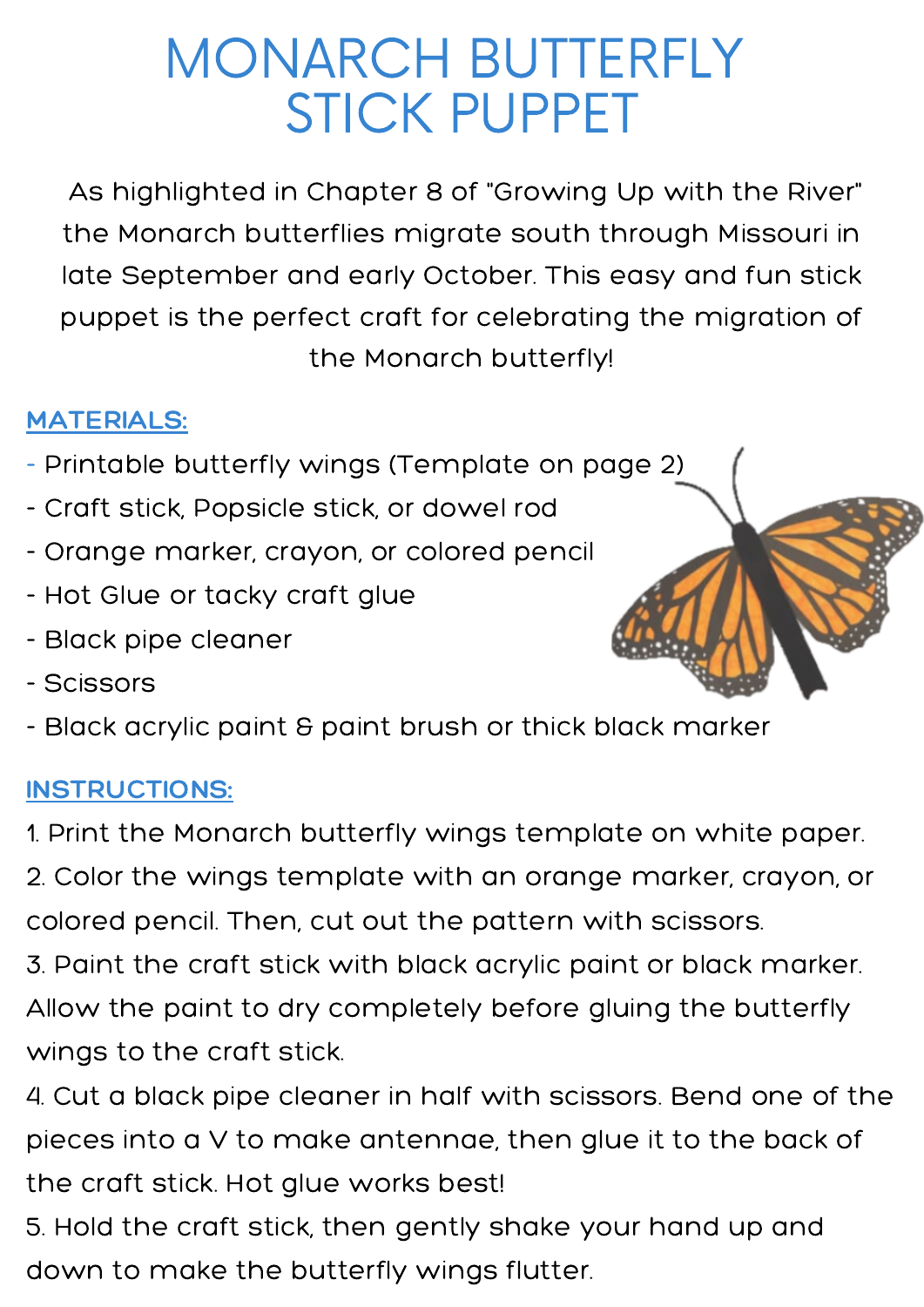## MONARCH BUTTERFLY STICK PUPPET

As highlighted in Chapter 8 of "Growing Up with the River" the Monarch butterflies migrate south through Missouri in late September and early October. This easy and fun stick puppet is the perfect craft for celebrating the migration of the Monarch butterfly!

## MATERIALS:

- Printable butterfly wings (Template on page 2)
- Craft stick, Popsicle stick, or dowel rod
- Orange marker, crayon, or colored pencil
- Hot Glue or tacky craft glue
- Black pipe cleaner
- Scissors
- Black acrylic paint & paint brush or thick black marker

## INSTRUCTIONS:

1. Print the Monarch butterfly wings template on white paper.

2. Color the wings template with an orange marker, crayon, or colored pencil. Then, cut out the pattern with scissors.

3. Paint the craft stick with black acrylic paint or black marker. Allow the paint to dry completely before gluing the butterfly wings to the craft stick.

4. Cut a black pipe cleaner in half with scissors. Bend one of the pieces into a V to make antennae, then glue it to the back of the craft stick. Hot glue works best!

5. Hold the craft stick, then gently shake your hand up and down to make the butterfly wings flutter.